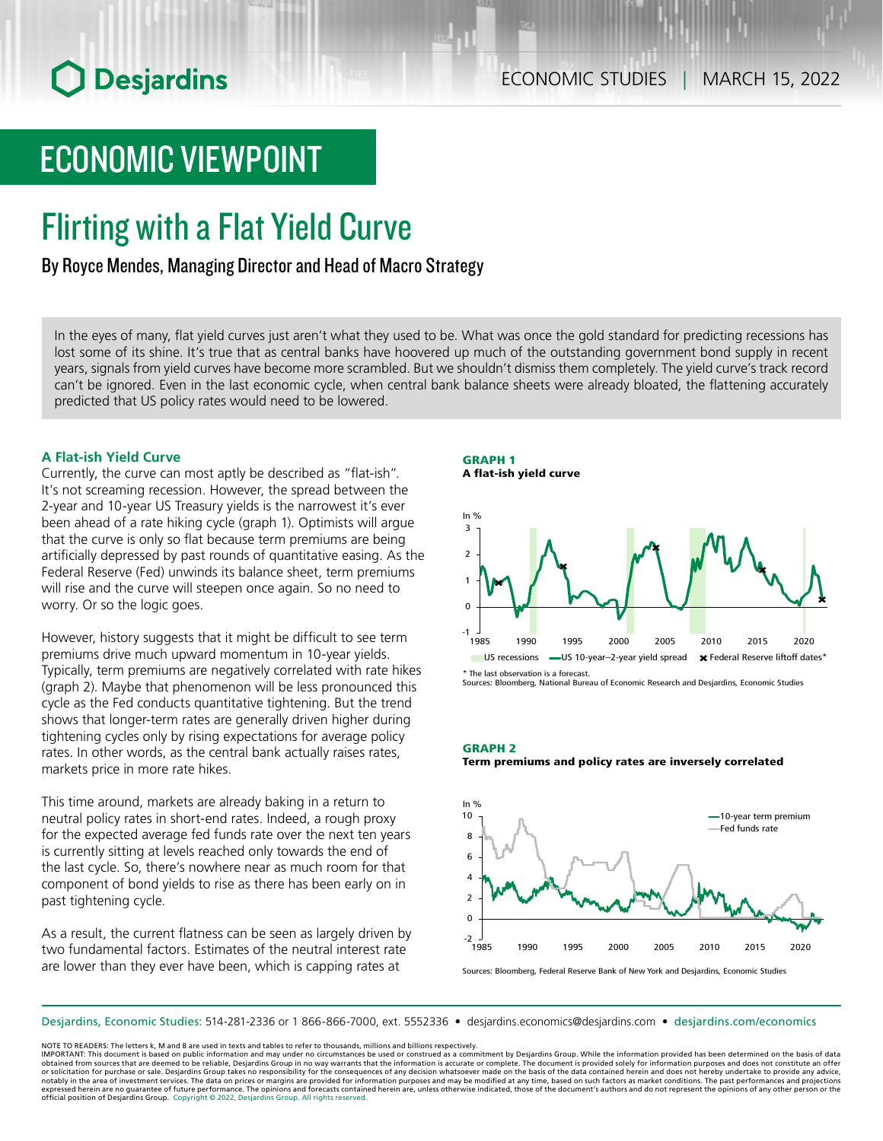# ECONOMIC VIEWPOINT

## Flirting with a Flat Yield Curve

### By Royce Mendes, Managing Director and Head of Macro Strategy

In the eyes of many, flat yield curves just aren't what they used to be. What was once the gold standard for predicting recessions has lost some of its shine. It's true that as central banks have hoovered up much of the outstanding government bond supply in recent years, signals from yield curves have become more scrambled. But we shouldn't dismiss them completely. The yield curve's track record can't be ignored. Even in the last economic cycle, when central bank balance sheets were already bloated, the flattening accurately predicted that US policy rates would need to be lowered.

#### **A Flat-ish Yield Curve**

Currently, the curve can most aptly be described as "flat-ish". It's not screaming recession. However, the spread between the 2‑year and 10‑year US Treasury yields is the narrowest it's ever been ahead of a rate hiking cycle (graph 1). Optimists will argue that the curve is only so flat because term premiums are being artificially depressed by past rounds of quantitative easing. As the Federal Reserve (Fed) unwinds its balance sheet, term premiums will rise and the curve will steepen once again. So no need to worry. Or so the logic goes.

However, history suggests that it might be difficult to see term premiums drive much upward momentum in 10‑year yields. Typically, term premiums are negatively correlated with rate hikes (graph 2). Maybe that phenomenon will be less pronounced this cycle as the Fed conducts quantitative tightening. But the trend shows that longer-term rates are generally driven higher during tightening cycles only by rising expectations for average policy rates. In other words, as the central bank actually raises rates, markets price in more rate hikes.

This time around, markets are already baking in a return to neutral policy rates in short-end rates. Indeed, a rough proxy for the expected average fed funds rate over the next ten years is currently sitting at levels reached only towards the end of the last cycle. So, there's nowhere near as much room for that component of bond yields to rise as there has been early on in past tightening cycle.

As a result, the current flatness can be seen as largely driven by two fundamental factors. Estimates of the neutral interest rate are lower than they ever have been, which is capping rates at





\* The last observation is a forecast.

Sources: Bloomberg, National Bureau of Economic Research and Desjardins, Economic Studies

GRAPH 2 Term premiums and policy rates are inversely correlated



Sources: Bloomberg, Federal Reserve Bank of New York and Desjardins, Economic Studies

Desjardins, Economic Studies: 514‑281‑2336 or 1 866‑866‑7000, ext. 5552336 • desjardins.economics@desjardins.com • [desjardins.com/economics](http://desjardins.com/economics)

NOTE TO READERS: The letters k, M and B are used in texts and tables to refer to thousands, millions and billions respectively.

IMPORTANT: This document is based on public information and may under no circumstances be used or construed as a commitment by Desjardins Group. While the information provided has been determined on the basis of data<br>obtai notably in the area of investment services. The data on prices or margins are provided for information purposes and may be modified at any time, based on such factors as market conditions. The past performances and project expressed herein are no guarantee of future performance. The opinions and forecasts contained herein are, unless otherwise indicated, those of the document's authors and do not represent the opinions of any other person or official position of Desjardins Group. Copyright © 2022, Desjardins Group. All rights reserved.